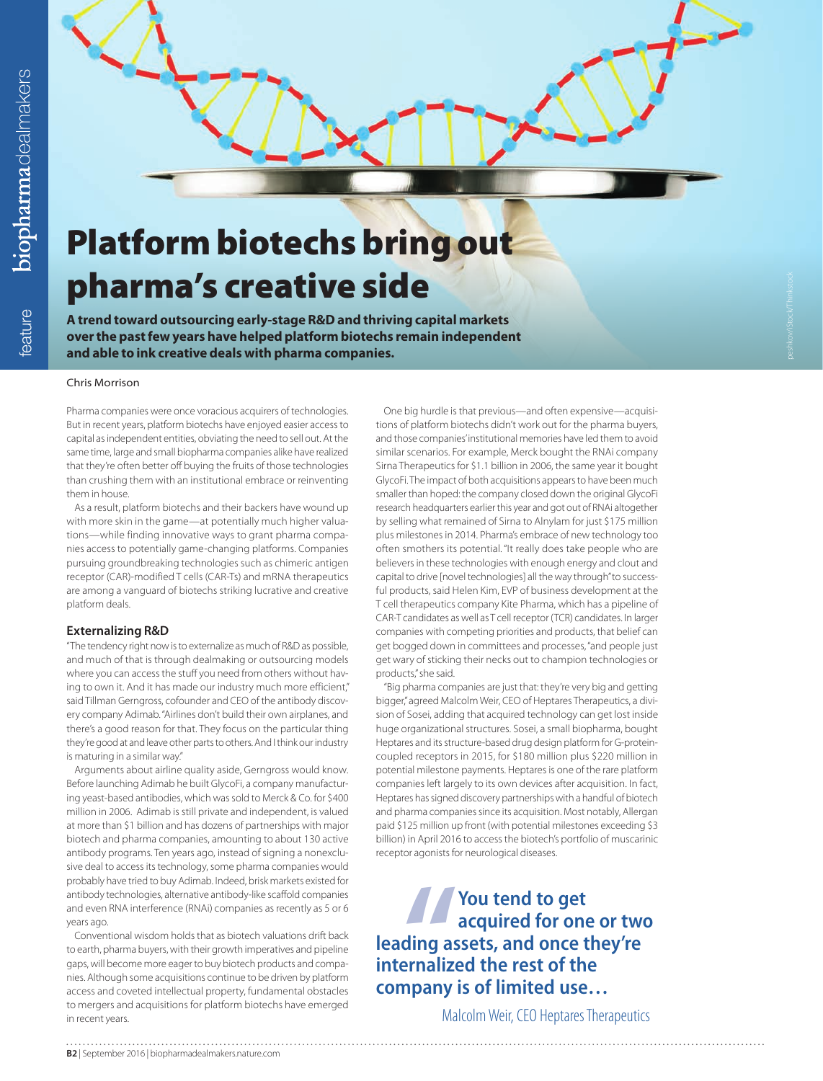

**A trend toward outsourcing early-stage R&D and thriving capital markets over the past few years have helped platform biotechs remain independent and able to ink creative deals with pharma companies.**

#### Chris Morrison

Pharma companies were once voracious acquirers of technologies. But in recent years, platform biotechs have enjoyed easier access to capital as independent entities, obviating the need to sell out. At the same time, large and small biopharma companies alike have realized that they're often better off buying the fruits of those technologies than crushing them with an institutional embrace or reinventing them in house.

As a result, platform biotechs and their backers have wound up with more skin in the game—at potentially much higher valuations—while finding innovative ways to grant pharma companies access to potentially game-changing platforms. Companies pursuing groundbreaking technologies such as chimeric antigen receptor (CAR)-modified T cells (CAR-Ts) and mRNA therapeutics are among a vanguard of biotechs striking lucrative and creative platform deals.

# **Externalizing R&D**

"The tendency right now is to externalize as much of R&D as possible, and much of that is through dealmaking or outsourcing models where you can access the stuff you need from others without having to own it. And it has made our industry much more efficient," said Tillman Gerngross, cofounder and CEO of the antibody discovery company Adimab. "Airlines don't build their own airplanes, and there's a good reason for that. They focus on the particular thing they're good at and leave other parts to others. And I think our industry is maturing in a similar way.

Arguments about airline quality aside, Gerngross would know. Before launching Adimab he built GlycoFi, a company manufacturing yeast-based antibodies, which was sold to Merck & Co. for \$400 million in 2006. Adimab is still private and independent, is valued at more than \$1 billion and has dozens of partnerships with major biotech and pharma companies, amounting to about 130 active antibody programs. Ten years ago, instead of signing a nonexclusive deal to access its technology, some pharma companies would probably have tried to buy Adimab. Indeed, brisk markets existed for antibody technologies, alternative antibody-like scaffold companies and even RNA interference (RNAi) companies as recently as 5 or 6 years ago.

Conventional wisdom holds that as biotech valuations drift back to earth, pharma buyers, with their growth imperatives and pipeline gaps, will become more eager to buy biotech products and companies. Although some acquisitions continue to be driven by platform access and coveted intellectual property, fundamental obstacles to mergers and acquisitions for platform biotechs have emerged in recent years.

One big hurdle is that previous—and often expensive—acquisitions of platform biotechs didn't work out for the pharma buyers, and those companies' institutional memories have led them to avoid similar scenarios. For example, Merck bought the RNAi company Sirna Therapeutics for \$1.1 billion in 2006, the same year it bought GlycoFi. The impact of both acquisitions appears to have been much smaller than hoped: the company closed down the original GlycoFi research headquarters earlier this year and got out of RNAi altogether by selling what remained of Sirna to Alnylam for just \$175 million plus milestones in 2014. Pharma's embrace of new technology too often smothers its potential. "It really does take people who are believers in these technologies with enough energy and clout and capital to drive [novel technologies] all the way through" to successful products, said Helen Kim, EVP of business development at the T cell therapeutics company Kite Pharma, which has a pipeline of CAR-T candidates as well as T cell receptor (TCR) candidates. In larger companies with competing priorities and products, that belief can get bogged down in committees and processes, "and people just get wary of sticking their necks out to champion technologies or products," she said.

"Big pharma companies are just that: they're very big and getting bigger," agreed Malcolm Weir, CEO of Heptares Therapeutics, a division of Sosei, adding that acquired technology can get lost inside huge organizational structures. Sosei, a small biopharma, bought Heptares and its structure-based drug design platform for G-proteincoupled receptors in 2015, for \$180 million plus \$220 million in potential milestone payments. Heptares is one of the rare platform companies left largely to its own devices after acquisition. In fact, Heptares has signed discovery partnerships with a handful of biotech and pharma companies since its acquisition. Most notably, Allergan paid \$125 million up front (with potential milestones exceeding \$3 billion) in April 2016 to access the biotech's portfolio of muscarinic receptor agonists for neurological diseases.

**ding as<br>
armalize**<br> **" You tend to get acquired for one or two leading assets, and once they're internalized the rest of the company is of limited use…**

Malcolm Weir, CEO Heptares Therapeutics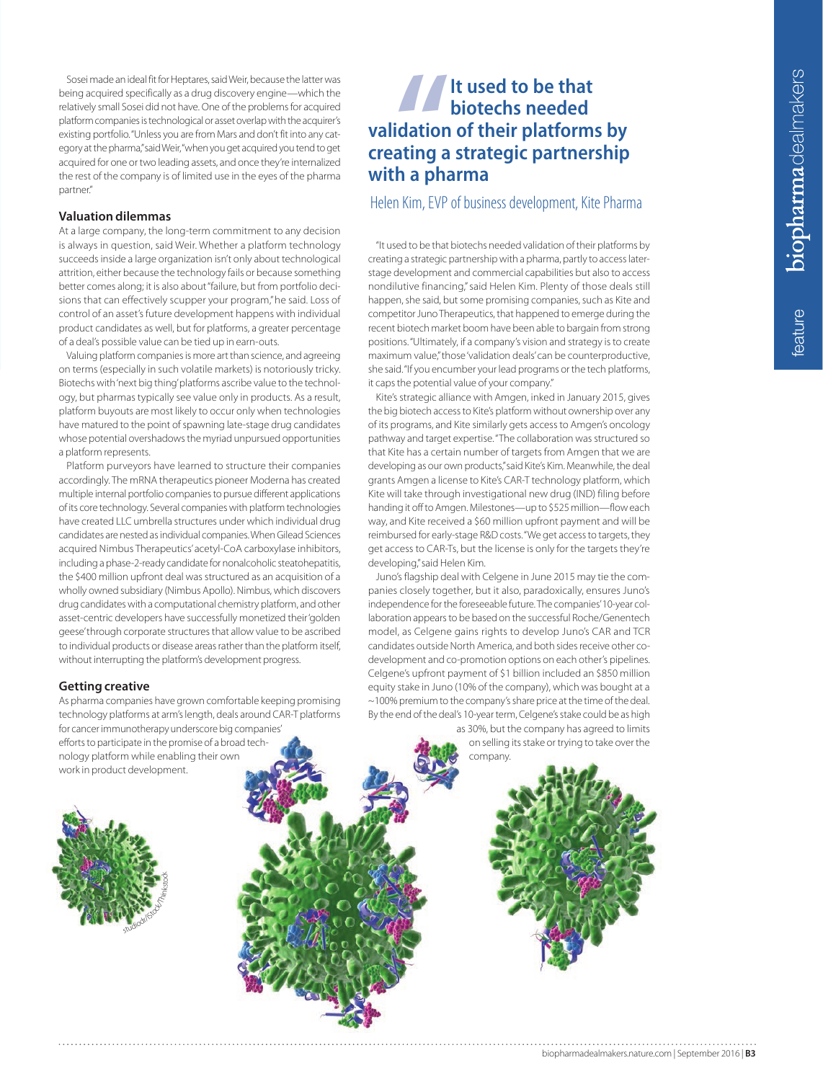eature

Sosei made an ideal fit for Heptares, said Weir, because the latter was being acquired specifically as a drug discovery engine—which the relatively small Sosei did not have. One of the problems for acquired platform companies is technological or asset overlap with the acquirer's existing portfolio. "Unless you are from Mars and don't fit into any category at the pharma," said Weir, "when you get acquired you tend to get acquired for one or two leading assets, and once they're internalized the rest of the company is of limited use in the eyes of the pharma partner."

# **Valuation dilemmas**

At a large company, the long-term commitment to any decision is always in question, said Weir. Whether a platform technology succeeds inside a large organization isn't only about technological attrition, either because the technology fails or because something better comes along; it is also about "failure, but from portfolio decisions that can effectively scupper your program," he said. Loss of control of an asset's future development happens with individual product candidates as well, but for platforms, a greater percentage of a deal's possible value can be tied up in earn-outs.

Valuing platform companies is more art than science, and agreeing on terms (especially in such volatile markets) is notoriously tricky. Biotechs with 'next big thing' platforms ascribe value to the technology, but pharmas typically see value only in products. As a result, platform buyouts are most likely to occur only when technologies have matured to the point of spawning late-stage drug candidates whose potential overshadows the myriad unpursued opportunities a platform represents.

Platform purveyors have learned to structure their companies accordingly. The mRNA therapeutics pioneer Moderna has created multiple internal portfolio companies to pursue different applications of its core technology. Several companies with platform technologies have created LLC umbrella structures under which individual drug candidates are nested as individual companies. When Gilead Sciences acquired Nimbus Therapeutics' acetyl-CoA carboxylase inhibitors, including a phase-2-ready candidate for nonalcoholic steatohepatitis, the \$400 million upfront deal was structured as an acquisition of a wholly owned subsidiary (Nimbus Apollo). Nimbus, which discovers drug candidates with a computational chemistry platform, and other asset-centric developers have successfully monetized their 'golden geese' through corporate structures that allow value to be ascribed to individual products or disease areas rather than the platform itself, without interrupting the platform's development progress.

# **Getting creative**

As pharma companies have grown comfortable keeping promising technology platforms at arm's length, deals around CAR-T platforms for cancer immunotherapy underscore big companies' efforts to participate in the promise of a broad technology platform while enabling their own work in product development.



# *<u>dation</u>*<br>**ating a**<br>**h a** pha **It used to be that biotechs needed validation of their platforms by creating a strategic partnership with a pharma**

Helen Kim, EVP of business development, Kite Pharma

"It used to be that biotechs needed validation of their platforms by creating a strategic partnership with a pharma, partly to access laterstage development and commercial capabilities but also to access nondilutive financing," said Helen Kim. Plenty of those deals still happen, she said, but some promising companies, such as Kite and competitor Juno Therapeutics, that happened to emerge during the recent biotech market boom have been able to bargain from strong positions. "Ultimately, if a company's vision and strategy is to create maximum value," those 'validation deals' can be counterproductive, she said. "If you encumber your lead programs or the tech platforms, it caps the potential value of your company."

Kite's strategic alliance with Amgen, inked in January 2015, gives the big biotech access to Kite's platform without ownership over any of its programs, and Kite similarly gets access to Amgen's oncology pathway and target expertise. "The collaboration was structured so that Kite has a certain number of targets from Amgen that we are developing as our own products," said Kite's Kim. Meanwhile, the deal grants Amgen a license to Kite's CAR-T technology platform, which Kite will take through investigational new drug (IND) filing before handing it off to Amgen. Milestones—up to \$525 million—flow each way, and Kite received a \$60 million upfront payment and will be reimbursed for early-stage R&D costs. "We get access to targets, they get access to CAR-Ts, but the license is only for the targets they're developing," said Helen Kim.

Juno's flagship deal with Celgene in June 2015 may tie the companies closely together, but it also, paradoxically, ensures Juno's independence for the foreseeable future. The companies' 10-year collaboration appears to be based on the successful Roche/Genentech model, as Celgene gains rights to develop Juno's CAR and TCR candidates outside North America, and both sides receive other codevelopment and co-promotion options on each other's pipelines. Celgene's upfront payment of \$1 billion included an \$850 million equity stake in Juno (10% of the company), which was bought at a ~100% premium to the company's share price at the time of the deal. By the end of the deal's 10-year term, Celgene's stake could be as high as 30%, but the company has agreed to limits

on selling its stake or trying to take over the company.